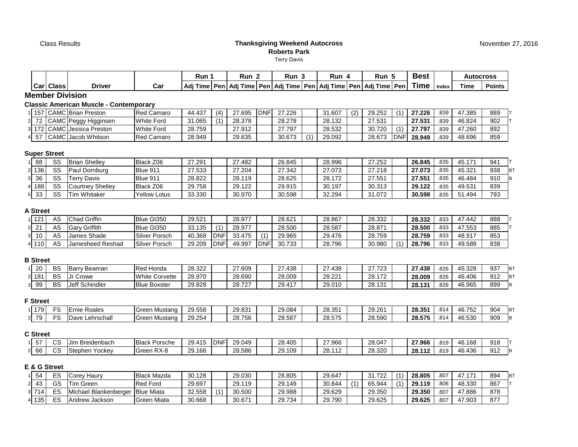Class Results

**Member Division**

### **Thanksgiving Weekend AutocrossRoberts Park**Terry Davis

| <b>Best</b><br>Run 1<br>Run 5<br>Run 2<br>Run 3<br>Run 4<br><b>Autocross</b><br><b>Time</b><br><b>Driver</b><br><b>Carl Class</b><br>Time<br><b>Points</b><br>Car<br>' Adi Time   Pen   Adi Time   Pen   Adi Time   Pen   Adi Time   Pen   Adi Time   Pen  <br>Index<br><b>Member Division</b><br>Iassic American Muscle - Contemporary: |                                |                   |        |     |        |            |        |  |        |     |        |            |        |      |        |     |
|------------------------------------------------------------------------------------------------------------------------------------------------------------------------------------------------------------------------------------------------------------------------------------------------------------------------------------------|--------------------------------|-------------------|--------|-----|--------|------------|--------|--|--------|-----|--------|------------|--------|------|--------|-----|
|                                                                                                                                                                                                                                                                                                                                          |                                |                   |        |     |        |            |        |  |        |     |        |            |        |      |        |     |
|                                                                                                                                                                                                                                                                                                                                          |                                |                   |        |     |        |            |        |  |        |     |        |            |        |      |        |     |
|                                                                                                                                                                                                                                                                                                                                          |                                |                   |        |     |        |            |        |  |        |     |        |            |        |      |        |     |
|                                                                                                                                                                                                                                                                                                                                          | 157 CAMC Brian Preston         | <b>Red Camaro</b> | 44.437 | (4) | 27.695 | <b>DNF</b> | 27.226 |  | 31.607 | (2) | 29.252 | (1)        | 27.226 | .839 | 47.385 | 889 |
|                                                                                                                                                                                                                                                                                                                                          | 72   CAMC   Peggy Higginsen    | <b>White Ford</b> | 31.065 |     | 28.378 |            | 28.278 |  | 28.132 |     | 27.531 |            | 27.531 | .839 | 46.824 | 902 |
|                                                                                                                                                                                                                                                                                                                                          | l 172   CAMC   Jessica Preston | <b>White Ford</b> | 28.759 |     | 27.912 |            | 27.797 |  | 28.532 |     | 30.720 | (1)        | 27.797 | .839 | 47.260 | 892 |
|                                                                                                                                                                                                                                                                                                                                          | 57 CAMC Jacob Whitson          | <b>Red Camaro</b> | 28.949 |     | 29.635 |            | 30.673 |  | 29.092 |     | 28.673 | <b>DNF</b> | 28.949 | .839 | 48.696 | 859 |

### **Super Street**

2

3

4

| 88      | cc        | <b>Brian Shellev</b>              | Black Z06           | 27.291 | 27.482 | 26.845 | 28.996 | 27.252 | 26.845 | .835 | 45<br>171 | 941 |  |
|---------|-----------|-----------------------------------|---------------------|--------|--------|--------|--------|--------|--------|------|-----------|-----|--|
| $2$ 136 | $_{cc}$   | Paul Dornburg                     | <b>Blue 911</b>     | 27.533 | 27.204 | 27.342 | 27.073 | 27.218 | 27.073 | .835 | 45.321    | 938 |  |
| 336     | <b>CC</b> | $\tau_{\mathsf{errv}}$ .<br>Davis | Blue 911            | 28.822 | 28.119 | 28.625 | 28.172 | 27.551 | 27,551 | .835 | 46.484    | 910 |  |
| 188 ا،  | cc        | Courtney Shelley                  | Black Z06           | 29.758 | 29.122 | 29.915 | 30.197 | 30.313 | 29.122 | .835 | 49.531    | 839 |  |
| 5 33    | $_{cc}$   | <b>Tim Whitaker</b>               | <b>Yellow Lotus</b> | 33.330 | 30.970 | 30.598 | 32.294 | 31.072 | 30.598 | 835  | 494<br>51 | 793 |  |

### **A Street**

| 121   | ΛC | <b>Chad Griffin</b>  | Blue Gt350    | 29.521 |                | 28.977 |      | 28.621 | 28.867 | 28.332 | 28.332 | .833 | 47.442 | 888 |
|-------|----|----------------------|---------------|--------|----------------|--------|------|--------|--------|--------|--------|------|--------|-----|
|       | AS | <b>Gary Griffith</b> | Blue Gt350    | 33.135 | $\overline{A}$ | 28.977 |      | 28.500 | 28.587 | 28.871 | 28.500 | .833 | 47.553 | 885 |
| 10    |    | James Shade          | Silver Porsch | 40.368 | <b>DNF</b>     | 33.475 |      | 29.965 | 29.476 | 28.759 | 28.759 | .833 | 48.917 | 853 |
| 4 110 | Δ⊂ | Jamesheed Reshad     | Silver Porsch | 29.209 | <b>DNF</b>     | 49.997 | DNF' | 30.733 | 28.796 | 30.980 | 28.796 | .833 | 49.588 | 838 |

### **B Street**

| $\cap$<br>zu | BS              | -Bar<br>Beaman | ' Honda<br>Red        | 28.322 | 27.609          | 27.438 | 27.438 | 27.723 | 27.438<br>$\sim$ | .826 | 45.328 | 937         | <b>IBT</b>            |
|--------------|-----------------|----------------|-----------------------|--------|-----------------|--------|--------|--------|------------------|------|--------|-------------|-----------------------|
| 2 181        | <b>DC</b><br>DΟ | Crowe          | <b>White Corvette</b> | 28.970 | 28.690          | 28.009 | 28.221 | 28.172 | 28.009           | .826 | 46.406 | Q12<br>ے ات | 1D <sub>T</sub><br>D. |
| 99           | <b>BS</b>       | Jeff Schindler | <b>Blue Boxster</b>   | 29.828 | 20.727<br>28.IZ | 29.417 | 29.010 | 28.131 | 28.131           | .826 | 46.965 | 899         |                       |

### **F Street**

| 179          | $ -$ | Roales<br>:rn     | Mustang<br><b>Green</b>  | 20E<br>29.558 | 29.83  | 29.084 | າວ ລະ<br>20.JJ   | 29.261 | 28.351 | 814 | .752<br>46.                          | 904 |  |
|--------------|------|-------------------|--------------------------|---------------|--------|--------|------------------|--------|--------|-----|--------------------------------------|-----|--|
| 79<br>$\sim$ | $ -$ | ∟ehrschall<br>∪dv | <b>IGreen</b><br>Mustang | 29.254        | 28.756 | 28.587 | 00.575<br>28.575 | 28.590 | 28.575 | 814 | roo <sub>n</sub><br>$\sim$<br>40.53∪ | 909 |  |

### **C Street**

| --<br>- 37 | <b>00</b><br>ັບ | ı Breidenbach<br>.Jim | <b>Black</b><br>Porsche | 11F<br>294.<br>29.<br>. L. | DNF | 29.049 | 28.405 | 27.966 | 28.047 | 27.966 | .819 | 46.168 | 918 |
|------------|-----------------|-----------------------|-------------------------|----------------------------|-----|--------|--------|--------|--------|--------|------|--------|-----|
| 66         | $\sim$<br>vo    | Stephen<br>Yockev     | ⊦RX-8<br><b>IGreen</b>  | 29.166                     |     | 28.586 | 29.109 | 28.112 | 28.320 | 28.112 | .819 | 46.436 | 912 |

### **E & G Street**

| 54      | $ \sim$  | orev Haurvٽ           | <b>Black Mazda</b> | 30.128 |                 | 29.030 | 28.805 | 29.647 |     | 31.722 | $\overline{1}$ | 28.805 | 807  | 474    | 894 |  |
|---------|----------|-----------------------|--------------------|--------|-----------------|--------|--------|--------|-----|--------|----------------|--------|------|--------|-----|--|
| 2 43    | $\sim$   | Tim Green             | <b>Red Ford</b>    | 29.697 |                 | 29.119 | 29.149 | 30.844 | (1) | 65.944 | (1)            | 29.119 | 806  | 48.330 | 867 |  |
| 3 7 1 4 | $\Gamma$ | Michael Blankenberger | <b>Blue Miata</b>  | 32.558 | $\overline{14}$ | 30.500 | 29.988 | 29.629 |     | 29,350 |                | 29.350 | .807 | 47.886 | 878 |  |
| 4 135   | $\Gamma$ | Andrew Jackson        | Green Miata        | 30.668 |                 | 30.671 | 29.734 | 29.790 |     | 29.625 |                | 29.625 | .807 | 7.903  | 877 |  |

November 27, 2016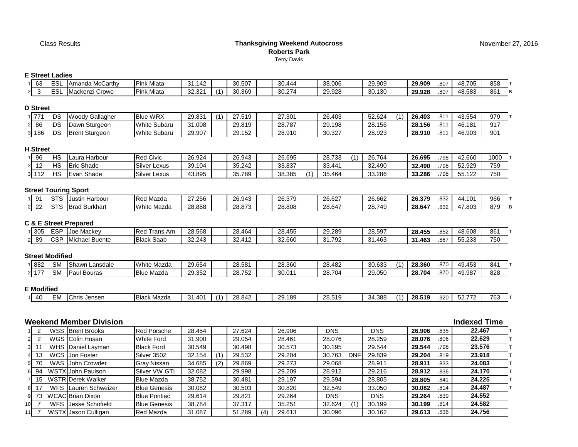## **Thanksgiving Weekend AutocrossRoberts Park**Terry Davis

# **E Street Ladies**

|          | --------------- |                 |                   |        |        |        |        |        |        |      |        |     |  |
|----------|-----------------|-----------------|-------------------|--------|--------|--------|--------|--------|--------|------|--------|-----|--|
| 63       | ESI             | Amanda McCarthy | <b>Pink Miata</b> | 31.142 | 30.507 | 30.444 | 38.006 | 29.909 | 29.909 | .807 | 48.705 | 858 |  |
| 23       | ESL             | Mackenzi Crowe  | <b>Pink Miata</b> | 32.321 | 30.369 | 30.274 | 29.928 | 30.130 | 29.928 | .807 | 48.583 | 861 |  |
| ) Street |                 |                 |                   |        |        |        |        |        |        |      |        |     |  |

#### **D**

| 774<br><u> 11</u> | DS | Wor<br>-<br>Gallagher<br>'uuu | WRX<br><b>Blue</b> | 29.831 | $\overline{A}$ | 27.519 | 27.301 | 26.403 | 52.624 | $\overline{A}$ | 26.403 | 044<br>.o  | 43.554 | 979             |
|-------------------|----|-------------------------------|--------------------|--------|----------------|--------|--------|--------|--------|----------------|--------|------------|--------|-----------------|
| 86                | DS | -<br>Sturgeon<br>Dawn         | White Subaru       | 31.008 |                | 29.819 | 28.787 | 29.198 | 28.156 |                | 28.156 | 044<br>. ب | 46.181 | 917             |
| 186               | DS | IBrent Sturaeon               | White Subaru       | 29.907 |                | 29.152 | 28.910 | 30.327 | 28.923 |                | 28.910 | 044<br>.v  | 46.903 | 90 <sub>1</sub> |

## **H Street**

| 96                          | பெ | Harbour<br>Laura | <b>Red Civic</b>     | 26.924 | 26.943 | 26.695 |                 | 28.733    | $\overline{ }$ | 26.764 | 26.695 | 798 | 42.660              | 1000 |
|-----------------------------|----|------------------|----------------------|--------|--------|--------|-----------------|-----------|----------------|--------|--------|-----|---------------------|------|
| $\overline{ }$<br>ے ا       | ⊔⊂ | Eric<br>Shade    | .<br>Silver<br>Lexus | 39.104 | 35.242 | 33.837 |                 | $33.44^*$ |                | 32.490 | 32.490 | 798 | 52.929              | 759  |
| $\overline{A}$<br>اک<br>ॱ∣∠ | ப  | Evan<br>Shade    | Silver<br>Lexus      | 43.895 | 35.789 | 38.385 | $\overline{14}$ | 35.464    |                | 33.286 | 33.286 | 798 | 55 122<br>- 33. IZZ | 750  |

# **Street Touring Sport**

| 9 <sup>1</sup> | $\sim$ $\sim$ $\sim$ | Harbour<br>lusi          | Red Mazda                | 27.256<br>ں بے. | 26.943 | 26.379 | 26.627 | 26.662              | 26.379 | .832 | 101<br>- 10 | 966             |
|----------------|----------------------|--------------------------|--------------------------|-----------------|--------|--------|--------|---------------------|--------|------|-------------|-----------------|
| $\sim$         |                      | مردا<br>Burkhart<br>הוסי | White<br>$\sim$<br>Mazda | 28.888          | 28.873 | 28.808 | 28.647 | 28749<br>20.1<br>᠇┙ | 28.647 | .832 | .803        | 87 <sup>c</sup> |

### **C & E Street Prepared**

| 305 | <b>FOR</b><br>⊏న⊬     | Joe<br>Mackev                   | .<br><b>Red</b><br>rans<br>Am | 28.568          | 28.464                        | 28.455<br>$1 - r$ | 29.289              | 28.597 | 28.455 | .852 | 48.608                      | 861 |
|-----|-----------------------|---------------------------------|-------------------------------|-----------------|-------------------------------|-------------------|---------------------|--------|--------|------|-----------------------------|-----|
| 89  | $\sim$ $\sim$<br>⊣ت ب | .<br>- -<br>ael Buente<br>IVII( | <b>Black Saab</b>             | 32.243<br>،ے.ےں | 412<br>$\sim$<br>، ے ب<br>᠂╹┻ | 00000<br>32.660   | .792<br>$\sim$<br>. | 31.463 | 31.463 | .867 | n ann<br><u>r</u><br>JJ.ZJ. | 750 |

### **Street Modified**

| 882               | <b>SM</b> | Shawn Lansdale       | White Mazda       | 29.654 | 28.581 | 28.360 | 28.482 | 30.633 | $\overline{ }$ | 28.360 | .870 | 49.453 | 841 |
|-------------------|-----------|----------------------|-------------------|--------|--------|--------|--------|--------|----------------|--------|------|--------|-----|
| $4 - 7$<br>$\sim$ | <b>SM</b> | <b>Pau</b><br>Bouras | <b>Blue Mazda</b> | 29.352 | 28.752 | 30.011 | 28.704 | 29.050 |                | 28.704 | .870 | 49.987 | 828 |
|                   |           |                      |                   |        |        |        |        |        |                |        |      |        |     |

# **E Modified**

| --<br>28.519<br>763<br>31.401<br>28.519<br>$F^{\alpha}$ $\rightarrow$<br>29.189<br>$\sim$ 0.0 $^{\circ}$<br>Λ∩<br>28.842<br><b>Black Mazda</b><br>.920<br>Chris<br>$\overline{A}$<br>$\overline{14}$<br>: Jenser<br>-299<br>1น.<br>34.35<br>52.11<br>$-11$<br>т., |
|-------------------------------------------------------------------------------------------------------------------------------------------------------------------------------------------------------------------------------------------------------------------|
|-------------------------------------------------------------------------------------------------------------------------------------------------------------------------------------------------------------------------------------------------------------------|

# **Weekend Member Division**

|                 |                |       | Weekend Member Division |                     |        |     |        |     |        |            |            |            |        |      | <b>Indexed Time</b> |
|-----------------|----------------|-------|-------------------------|---------------------|--------|-----|--------|-----|--------|------------|------------|------------|--------|------|---------------------|
|                 |                |       | <b>WSS Brent Brooks</b> | <b>Red Porsche</b>  | 28.454 |     | 27.624 |     | 26.906 | <b>DNS</b> |            | <b>DNS</b> | 26.906 | .835 | 22.467              |
| 2 <sup>1</sup>  | $\overline{2}$ |       | WGS Colin Hosan         | <b>White Ford</b>   | 31.900 |     | 29.054 |     | 28.461 | 28.076     |            | 28.259     | 28.076 | .806 | 22.629              |
| 3 <sup>1</sup>  | 11             |       | WHS Daniel Layman       | <b>Black Ford</b>   | 30.549 |     | 30.498 |     | 30.573 | 30.195     |            | 29.544     | 29.544 | .798 | 23.576              |
| 4 <sup>1</sup>  | 13             | WCS I | Jon Foster              | Silver 350Z         | 32.154 |     | 29.532 |     | 29.204 | 30.763     | <b>DNF</b> | 29.839     | 29.204 | .819 | 23.918              |
| 51              | 70             | WAS I | <b>John Crowder</b>     | <b>Gray Nissan</b>  | 34.685 | (2) | 29.869 |     | 29.273 | 29.068     |            | 28.911     | 28.911 | .833 | 24.083              |
| 61              | 94             |       | WSTX John Paulson       | Silver VW GTI       | 32.082 |     | 29.998 |     | 29,209 | 28.912     |            | 29.216     | 28.912 | .836 | 24.170              |
|                 | 15             |       | WSTR Derek Walker       | <b>Blue Mazda</b>   | 38.752 |     | 30.481 |     | 29.197 | 29.394     |            | 28.805     | 28.805 | .841 | 24.225              |
| 8               | 17             | WFS.  | Lauren Schweizer        | <b>Blue Genesis</b> | 30.082 |     | 30.503 |     | 30.820 | 32.549     |            | 33.050     | 30.082 | .814 | 24.487              |
|                 | 9 73           |       | <b>WCAC</b> Brian Dixon | <b>Blue Pontiac</b> | 29.614 |     | 29.821 |     | 29.264 | <b>DNS</b> |            | <b>DNS</b> | 29.264 | .839 | 24.552              |
| 10 <sup>1</sup> |                | WFS   | Jesse Schofield         | <b>Blue Genesis</b> | 38.784 |     | 37.317 |     | 35.251 | 32.624     |            | 30.199     | 30.199 | .814 | 24.582              |
| 11              |                |       | WSTX Jason Culligan     | Red Mazda           | 31.087 |     | 51.289 | (4) | 29.613 | 30.096     |            | 30.162     | 29.613 | .836 | 24.756              |